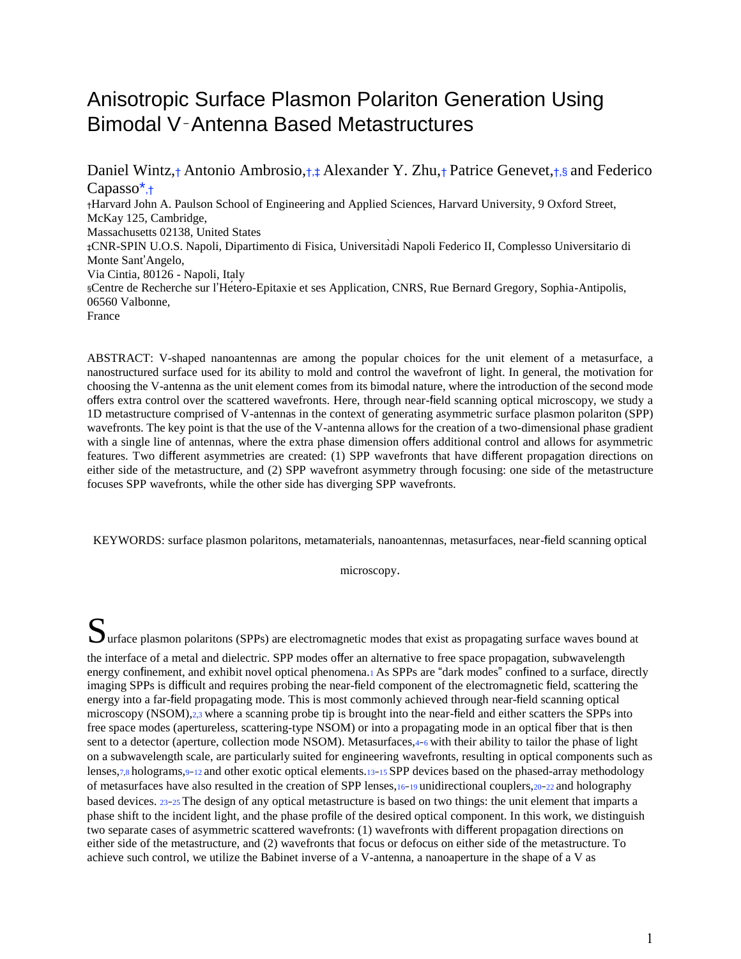# Anisotropic Surface Plasmon Polariton Generation Using Bimodal V‑Antenna Based Metastructures

Daniel Wintz,† Antonio Ambrosio,†,‡ Alexander Y. Zhu,† Patrice Genevet,†,§ and Federico Capasso\*,† †Harvard John A. Paulson School of Engineering and Applied Sciences, Harvard University, 9 Oxford Street, McKay 125, Cambridge, Massachusetts 02138, United States ‡CNR-SPIN U.O.S. Napoli, Dipartimento di Fisica, Universitàdi Napoli Federico II, Complesso Universitario di Monte Sant'Angelo, Via Cintia, 80126 - Napoli, Italy §Centre de Recherche sur l'Hétéro-Epitaxie et ses Application, CNRS, Rue Bernard Gregory, Sophia-Antipolis, 06560 Valbonne, France

ABSTRACT: V-shaped nanoantennas are among the popular choices for the unit element of a metasurface, a nanostructured surface used for its ability to mold and control the wavefront of light. In general, the motivation for choosing the V-antenna as the unit element comes from its bimodal nature, where the introduction of the second mode offers extra control over the scattered wavefronts. Here, through near-field scanning optical microscopy, we study a 1D metastructure comprised of V-antennas in the context of generating asymmetric surface plasmon polariton (SPP) wavefronts. The key point is that the use of the V-antenna allows for the creation of a two-dimensional phase gradient with a single line of antennas, where the extra phase dimension offers additional control and allows for asymmetric features. Two different asymmetries are created: (1) SPP wavefronts that have different propagation directions on either side of the metastructure, and (2) SPP wavefront asymmetry through focusing: one side of the metastructure focuses SPP wavefronts, while the other side has diverging SPP wavefronts.

KEYWORDS: surface plasmon polaritons, metamaterials, nanoantennas, metasurfaces, near-field scanning optical

microscopy.

Surface plasmon polaritons (SPPs) are electromagnetic modes that exist as propagating surface waves bound at the interface of a metal and dielectric. SPP modes offer an alternative to free space propagation, subwavelength energy confinement, and exhibit novel optical phenomena.1 As SPPs are "dark modes" confined to a surface, directly imaging SPPs is difficult and requires probing the near-field component of the electromagnetic field, scattering the energy into a far-field propagating mode. This is most commonly achieved through near-field scanning optical microscopy (NSOM), 2,3 where a scanning probe tip is brought into the near-field and either scatters the SPPs into free space modes (apertureless, scattering-type NSOM) or into a propagating mode in an optical fiber that is then sent to a detector (aperture, collection mode NSOM). Metasurfaces,4–6 with their ability to tailor the phase of light on a subwavelength scale, are particularly suited for engineering wavefronts, resulting in optical components such as lenses,7,8 holograms,9−12 and other exotic optical elements.13−15 SPP devices based on the phased-array methodology of metasurfaces have also resulted in the creation of SPP lenses,16−<sup>19</sup> unidirectional couplers,20−22 and holography based devices. <sup>23</sup>−25 The design of any optical metastructure is based on two things: the unit element that imparts a phase shift to the incident light, and the phase profile of the desired optical component. In this work, we distinguish two separate cases of asymmetric scattered wavefronts: (1) wavefronts with different propagation directions on either side of the metastructure, and (2) wavefronts that focus or defocus on either side of the metastructure. To achieve such control, we utilize the Babinet inverse of a V-antenna, a nanoaperture in the shape of a V as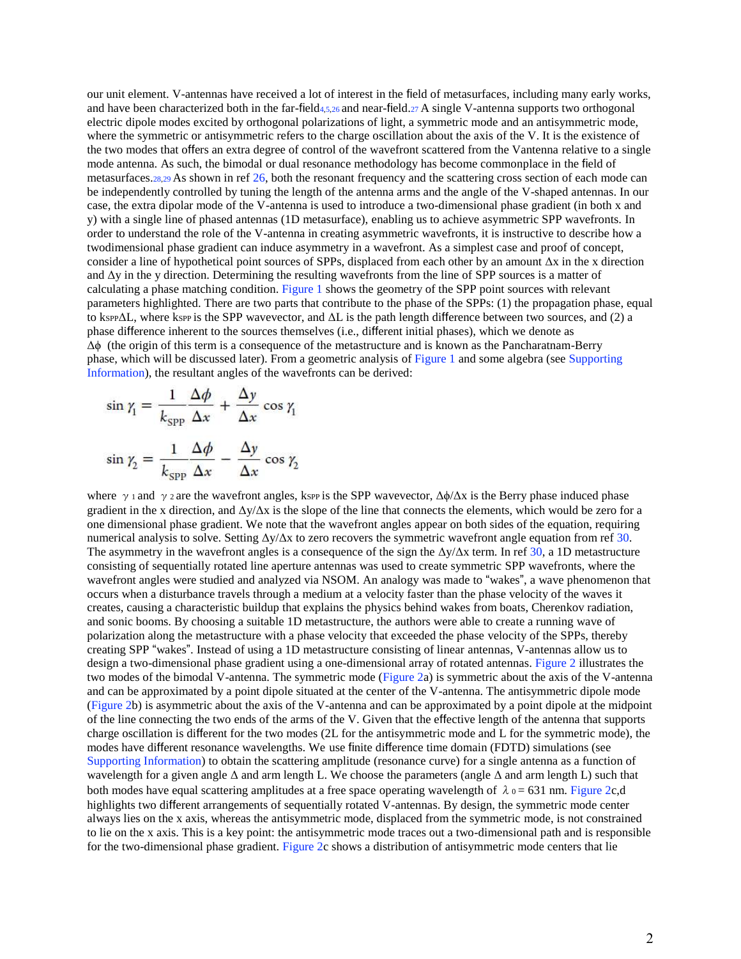our unit element. V-antennas have received a lot of interest in the field of metasurfaces, including many early works, and have been characterized both in the far-field4,5,26 and near-field.27 A single V-antenna supports two orthogonal electric dipole modes excited by orthogonal polarizations of light, a symmetric mode and an antisymmetric mode, where the symmetric or antisymmetric refers to the charge oscillation about the axis of the V. It is the existence of the two modes that offers an extra degree of control of the wavefront scattered from the Vantenna relative to a single mode antenna. As such, the bimodal or dual resonance methodology has become commonplace in the field of metasurfaces.28,29 As shown in ref 26, both the resonant frequency and the scattering cross section of each mode can be independently controlled by tuning the length of the antenna arms and the angle of the V-shaped antennas. In our case, the extra dipolar mode of the V-antenna is used to introduce a two-dimensional phase gradient (in both x and y) with a single line of phased antennas (1D metasurface), enabling us to achieve asymmetric SPP wavefronts. In order to understand the role of the V-antenna in creating asymmetric wavefronts, it is instructive to describe how a twodimensional phase gradient can induce asymmetry in a wavefront. As a simplest case and proof of concept, consider a line of hypothetical point sources of SPPs, displaced from each other by an amount  $\Delta x$  in the x direction and  $\Delta y$  in the y direction. Determining the resulting wavefronts from the line of SPP sources is a matter of calculating a phase matching condition. Figure 1 shows the geometry of the SPP point sources with relevant parameters highlighted. There are two parts that contribute to the phase of the SPPs: (1) the propagation phase, equal to kspp $\Delta L$ , where kspp is the SPP wavevector, and  $\Delta L$  is the path length difference between two sources, and (2) a phase difference inherent to the sources themselves (i.e., different initial phases), which we denote as Δϕ (the origin of this term is a consequence of the metastructure and is known as the Pancharatnam-Berry phase, which will be discussed later). From a geometric analysis of Figure 1 and some algebra (see Supporting Information), the resultant angles of the wavefronts can be derived:

$$
\sin \gamma_1 = \frac{1}{k_{\text{SPP}}} \frac{\Delta \phi}{\Delta x} + \frac{\Delta y}{\Delta x} \cos \gamma_1
$$

$$
\sin \gamma_2 = \frac{1}{k_{\text{SPP}}} \frac{\Delta \phi}{\Delta x} - \frac{\Delta y}{\Delta x} \cos \gamma_2
$$

where  $\gamma$  and  $\gamma$  are the wavefront angles, kspp is the SPP wavevector,  $\Delta\phi/\Delta x$  is the Berry phase induced phase gradient in the x direction, and  $\Delta y/\Delta x$  is the slope of the line that connects the elements, which would be zero for a one dimensional phase gradient. We note that the wavefront angles appear on both sides of the equation, requiring numerical analysis to solve. Setting  $\Delta y/\Delta x$  to zero recovers the symmetric wavefront angle equation from ref 30. The asymmetry in the wavefront angles is a consequence of the sign the  $\Delta y/\Delta x$  term. In ref 30, a 1D metastructure consisting of sequentially rotated line aperture antennas was used to create symmetric SPP wavefronts, where the wavefront angles were studied and analyzed via NSOM. An analogy was made to "wakes", a wave phenomenon that occurs when a disturbance travels through a medium at a velocity faster than the phase velocity of the waves it creates, causing a characteristic buildup that explains the physics behind wakes from boats, Cherenkov radiation, and sonic booms. By choosing a suitable 1D metastructure, the authors were able to create a running wave of polarization along the metastructure with a phase velocity that exceeded the phase velocity of the SPPs, thereby creating SPP "wakes". Instead of using a 1D metastructure consisting of linear antennas, V-antennas allow us to design a two-dimensional phase gradient using a one-dimensional array of rotated antennas. Figure 2 illustrates the two modes of the bimodal V-antenna. The symmetric mode (Figure 2a) is symmetric about the axis of the V-antenna and can be approximated by a point dipole situated at the center of the V-antenna. The antisymmetric dipole mode (Figure 2b) is asymmetric about the axis of the V-antenna and can be approximated by a point dipole at the midpoint of the line connecting the two ends of the arms of the V. Given that the effective length of the antenna that supports charge oscillation is different for the two modes (2L for the antisymmetric mode and L for the symmetric mode), the modes have different resonance wavelengths. We use finite difference time domain (FDTD) simulations (see Supporting Information) to obtain the scattering amplitude (resonance curve) for a single antenna as a function of wavelength for a given angle Δ and arm length L. We choose the parameters (angle Δ and arm length L) such that both modes have equal scattering amplitudes at a free space operating wavelength of  $\lambda_0 = 631$  nm. Figure 2c,d highlights two different arrangements of sequentially rotated V-antennas. By design, the symmetric mode center always lies on the x axis, whereas the antisymmetric mode, displaced from the symmetric mode, is not constrained to lie on the x axis. This is a key point: the antisymmetric mode traces out a two-dimensional path and is responsible for the two-dimensional phase gradient. Figure 2c shows a distribution of antisymmetric mode centers that lie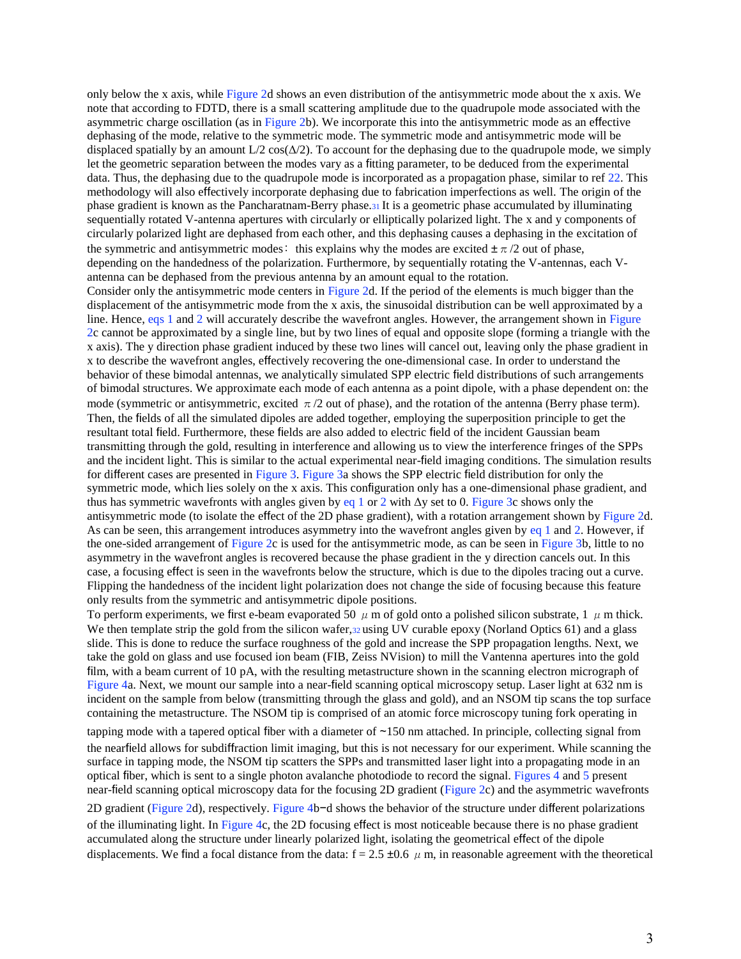only below the x axis, while Figure 2d shows an even distribution of the antisymmetric mode about the x axis. We note that according to FDTD, there is a small scattering amplitude due to the quadrupole mode associated with the asymmetric charge oscillation (as in Figure 2b). We incorporate this into the antisymmetric mode as an effective dephasing of the mode, relative to the symmetric mode. The symmetric mode and antisymmetric mode will be displaced spatially by an amount  $L/2 \cos(\Delta/2)$ . To account for the dephasing due to the quadrupole mode, we simply let the geometric separation between the modes vary as a fitting parameter, to be deduced from the experimental data. Thus, the dephasing due to the quadrupole mode is incorporated as a propagation phase, similar to ref 22. This methodology will also effectively incorporate dephasing due to fabrication imperfections as well. The origin of the phase gradient is known as the Pancharatnam-Berry phase.31 It is a geometric phase accumulated by illuminating sequentially rotated V-antenna apertures with circularly or elliptically polarized light. The x and y components of circularly polarized light are dephased from each other, and this dephasing causes a dephasing in the excitation of the symmetric and antisymmetric modes: this explains why the modes are excited  $\pm \pi/2$  out of phase, depending on the handedness of the polarization. Furthermore, by sequentially rotating the V-antennas, each Vantenna can be dephased from the previous antenna by an amount equal to the rotation. Consider only the antisymmetric mode centers in Figure 2d. If the period of the elements is much bigger than the displacement of the antisymmetric mode from the x axis, the sinusoidal distribution can be well approximated by a line. Hence, eqs 1 and 2 will accurately describe the wavefront angles. However, the arrangement shown in Figure 2c cannot be approximated by a single line, but by two lines of equal and opposite slope (forming a triangle with the x axis). The y direction phase gradient induced by these two lines will cancel out, leaving only the phase gradient in x to describe the wavefront angles, effectively recovering the one-dimensional case. In order to understand the behavior of these bimodal antennas, we analytically simulated SPP electric field distributions of such arrangements of bimodal structures. We approximate each mode of each antenna as a point dipole, with a phase dependent on: the mode (symmetric or antisymmetric, excited  $\pi/2$  out of phase), and the rotation of the antenna (Berry phase term). Then, the fields of all the simulated dipoles are added together, employing the superposition principle to get the resultant total field. Furthermore, these fields are also added to electric field of the incident Gaussian beam transmitting through the gold, resulting in interference and allowing us to view the interference fringes of the SPPs and the incident light. This is similar to the actual experimental near-field imaging conditions. The simulation results for different cases are presented in Figure 3. Figure 3a shows the SPP electric field distribution for only the symmetric mode, which lies solely on the x axis. This configuration only has a one-dimensional phase gradient, and thus has symmetric wavefronts with angles given by eq 1 or 2 with  $\Delta y$  set to 0. Figure 3c shows only the antisymmetric mode (to isolate the effect of the 2D phase gradient), with a rotation arrangement shown by Figure 2d. As can be seen, this arrangement introduces asymmetry into the wavefront angles given by eq 1 and 2. However, if the one-sided arrangement of Figure 2c is used for the antisymmetric mode, as can be seen in Figure 3b, little to no asymmetry in the wavefront angles is recovered because the phase gradient in the y direction cancels out. In this case, a focusing effect is seen in the wavefronts below the structure, which is due to the dipoles tracing out a curve. Flipping the handedness of the incident light polarization does not change the side of focusing because this feature only results from the symmetric and antisymmetric dipole positions.

To perform experiments, we first e-beam evaporated 50  $\mu$  m of gold onto a polished silicon substrate, 1  $\mu$  m thick. We then template strip the gold from the silicon wafer, 32 using UV curable epoxy (Norland Optics 61) and a glass slide. This is done to reduce the surface roughness of the gold and increase the SPP propagation lengths. Next, we take the gold on glass and use focused ion beam (FIB, Zeiss NVision) to mill the Vantenna apertures into the gold film, with a beam current of 10 pA, with the resulting metastructure shown in the scanning electron micrograph of Figure 4a. Next, we mount our sample into a near-field scanning optical microscopy setup. Laser light at 632 nm is incident on the sample from below (transmitting through the glass and gold), and an NSOM tip scans the top surface containing the metastructure. The NSOM tip is comprised of an atomic force microscopy tuning fork operating in

tapping mode with a tapered optical fiber with a diameter of ∼150 nm attached. In principle, collecting signal from the nearfield allows for subdiffraction limit imaging, but this is not necessary for our experiment. While scanning the surface in tapping mode, the NSOM tip scatters the SPPs and transmitted laser light into a propagating mode in an optical fiber, which is sent to a single photon avalanche photodiode to record the signal. Figures 4 and 5 present near-field scanning optical microscopy data for the focusing 2D gradient (Figure 2c) and the asymmetric wavefronts

2D gradient (Figure 2d), respectively. Figure 4b−d shows the behavior of the structure under different polarizations of the illuminating light. In Figure 4c, the 2D focusing effect is most noticeable because there is no phase gradient accumulated along the structure under linearly polarized light, isolating the geometrical effect of the dipole displacements. We find a focal distance from the data:  $f = 2.5 \pm 0.6 \mu$  m, in reasonable agreement with the theoretical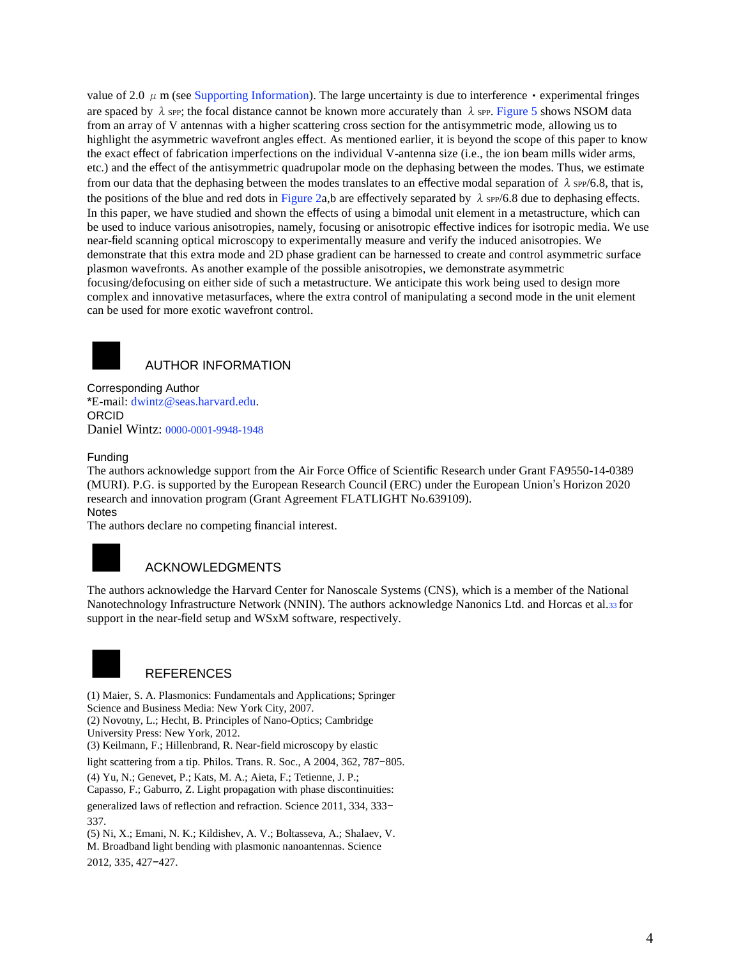value of 2.0  $\mu$  m (see Supporting Information). The large uncertainty is due to interference  $\cdot$  experimental fringes are spaced by  $\lambda$  spp; the focal distance cannot be known more accurately than  $\lambda$  spp. Figure 5 shows NSOM data from an array of V antennas with a higher scattering cross section for the antisymmetric mode, allowing us to highlight the asymmetric wavefront angles effect. As mentioned earlier, it is beyond the scope of this paper to know the exact effect of fabrication imperfections on the individual V-antenna size (i.e., the ion beam mills wider arms, etc.) and the effect of the antisymmetric quadrupolar mode on the dephasing between the modes. Thus, we estimate from our data that the dephasing between the modes translates to an effective modal separation of  $\lambda$  spp/6.8, that is, the positions of the blue and red dots in Figure 2a,b are effectively separated by  $\lambda$  spp/6.8 due to dephasing effects. In this paper, we have studied and shown the effects of using a bimodal unit element in a metastructure, which can be used to induce various anisotropies, namely, focusing or anisotropic effective indices for isotropic media. We use near-field scanning optical microscopy to experimentally measure and verify the induced anisotropies. We demonstrate that this extra mode and 2D phase gradient can be harnessed to create and control asymmetric surface plasmon wavefronts. As another example of the possible anisotropies, we demonstrate asymmetric focusing/defocusing on either side of such a metastructure. We anticipate this work being used to design more complex and innovative metasurfaces, where the extra control of manipulating a second mode in the unit element can be used for more exotic wavefront control.



#### **AUTHOR INFORMATION**

Corresponding Author \*E-mail: dwintz@seas.harvard.edu. ORCID Daniel Wintz: 0000-0001-9948-1948

#### Funding

The authors acknowledge support from the Air Force Office of Scientific Research under Grant FA9550-14-0389 (MURI). P.G. is supported by the European Research Council (ERC) under the European Union's Horizon 2020 research and innovation program (Grant Agreement FLATLIGHT No.639109). **Notes** 

The authors declare no competing financial interest.

### **ACKNOWLEDGMENTS**

The authors acknowledge the Harvard Center for Nanoscale Systems (CNS), which is a member of the National Nanotechnology Infrastructure Network (NNIN). The authors acknowledge Nanonics Ltd. and Horcas et al.33 for support in the near-field setup and WSxM software, respectively.



### **REFERENCES**

(1) Maier, S. A. Plasmonics: Fundamentals and Applications; Springer Science and Business Media: New York City, 2007. (2) Novotny, L.; Hecht, B. Principles of Nano-Optics; Cambridge University Press: New York, 2012. (3) Keilmann, F.; Hillenbrand, R. Near-field microscopy by elastic

light scattering from a tip. Philos. Trans. R. Soc., A 2004, 362, 787−805.

(4) Yu, N.; Genevet, P.; Kats, M. A.; Aieta, F.; Tetienne, J. P.; Capasso, F.; Gaburro, Z. Light propagation with phase discontinuities: generalized laws of reflection and refraction. Science 2011, 334, 333−

337. (5) Ni, X.; Emani, N. K.; Kildishev, A. V.; Boltasseva, A.; Shalaev, V. M. Broadband light bending with plasmonic nanoantennas. Science 2012, 335, 427−427.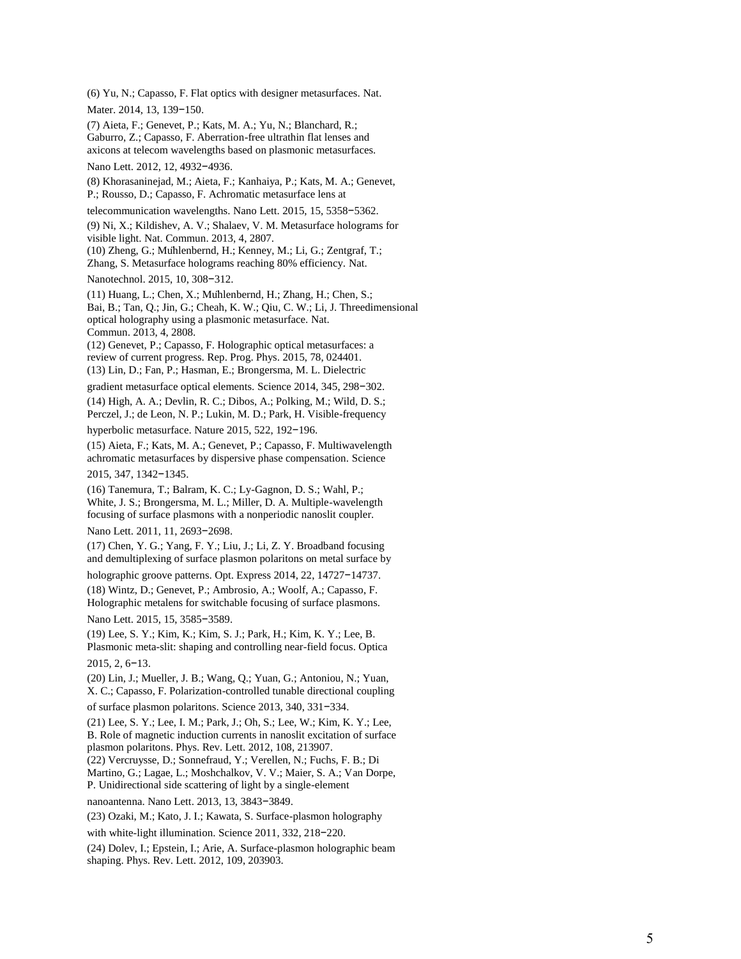(6) Yu, N.; Capasso, F. Flat optics with designer metasurfaces. Nat. Mater. 2014, 13, 139-150.

(7) Aieta, F.; Genevet, P.; Kats, M. A.; Yu, N.; Blanchard, R.; Gaburro, Z.; Capasso, F. Aberration -free ultrathin flat lenses and axicons at telecom wavelengths based on plasmonic metasurfaces.

Nano Lett. 2012, 12, 4932-4936.

(8) Khorasaninejad, M.; Aieta, F.; Kanhaiya, P.; Kats, M. A.; Genevet, P.; Rousso, D.; Capasso, F. Achromatic metasurface lens at

telecommunication wavelengths. Nano Lett. 2015, 15, 5358 −5362.

(9) Ni, X.; Kildishev, A. V.; Shalaev, V. M. Metasurface holograms for visible light. Nat. Commun. 2013, 4, 2807.

(10) Zheng, G.; Mühlenbernd, H.; Kenney, M.; Li, G.; Zentgraf, T.;

Zhang, S. Metasurface holograms reaching 80% efficiency. Nat.

Nanotechnol. 2015, 10, 308-312.

(11) Huang, L.; Chen, X.; Mühlenbernd, H.; Zhang, H.; Chen, S.; Bai, B.; Tan, Q.; Jin, G.; Cheah, K. W.; Qiu, C. W.; Li, J. Threedimensional optical holography using a plasmonic metasurface. Nat. Commun. 2013, 4, 2808.

(12) Genevet, P.; Capasso, F. Holographic optical metasurfaces: a review of current progress. Rep. Prog. Phys. 2015, 78, 024401. (13) Lin, D.; Fan, P.; Hasman, E.; Brongersma, M. L. Dielectric

gradient metasurface optical elements. Science 2014, 345, 298-302.

(14) High, A. A.; Devlin, R. C.; Dibos, A.; Polking, M.; Wild, D. S.; Perczel, J.; de Leon, N. P.; Lukin, M. D.; Park, H. Visible -frequency

hyperbolic metasurface. Nature 2015, 522, 192 −196.

(15) Aieta, F.; Kats, M. A.; Genevet, P.; Capasso, F. Multiwavelength achromatic metasurfaces by dispersive phase compensation. Science

2015, 347, 1342 −1345.

(16) Tanemura, T.; Balram, K. C.; Ly -Gagnon, D. S.; Wahl, P.; White, J. S.; Brongersma, M. L.; Miller, D. A. Multiple-wavelength focusing of surface plasmons with a nonperiodic nanoslit coupler.

Nano Lett. 2011, 11, 2693-2698.

(17) Chen, Y. G.; Yang, F. Y.; Liu, J.; Li, Z. Y. Broadband focusing and demultiplexing of surface plasmon polaritons on metal surface by

holographic groove patterns. Opt. Express 2014, 22, 14727 −14737.

(18) Wintz, D.; Genevet, P.; Ambrosio, A.; Woolf, A.; Capasso, F. Holographic metalens for switchable focusing of surface plasmons. Nano Lett. 2015, 15, 3585-3589.

(19) Lee, S. Y.; Kim, K.; Kim, S. J.; Park, H.; Kim, K. Y.; Lee, B. Plasmonic meta -slit: shaping and controlling near -field focus. Optica 2015, 2, 6 −13.

(20) Lin, J.; Mueller, J. B.; Wang, Q.; Yuan, G.; Antoniou, N.; Yuan, X. C.; Capasso, F. Polarization -controlled tunable directional coupling

of surface plasmon polaritons. Science 2013, 340, 331 −334.

(21) Lee, S. Y.; Lee, I. M.; Park, J.; Oh, S.; Lee, W.; Kim, K. Y.; Lee, B. Role of magnetic induction currents in nanoslit excitation of surface plasmon polaritons. Phys. Rev. Lett. 2012, 108, 213907.

(22) Vercruysse, D.; Sonnefraud, Y.; Verellen, N.; Fuchs, F. B.; Di Martino, G.; Lagae, L.; Moshchalkov, V. V.; Maier, S. A.; Van Dorpe,

P. Unidirectional side scattering of light by a single -element

nanoantenna. Nano Lett. 2013, 13, 3843 −3849.

(23) Ozaki, M.; Kato, J. I.; Kawata, S. Surface -plasmon holography

with white-light illumination. Science 2011, 332, 218-220.

(24) Dolev, I.; Epstein, I.; Arie, A. Surface -plasmon holographic beam shaping. Phys. Rev. Lett. 2012, 109, 203903.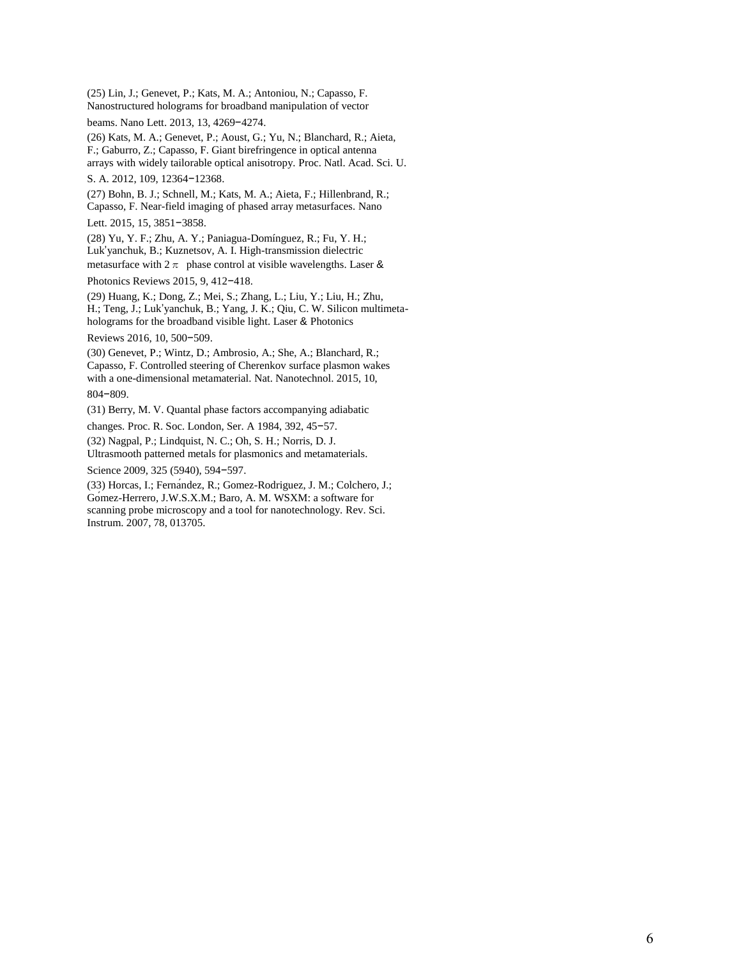(25) Lin, J.; Genevet, P.; Kats, M. A.; Antoniou, N.; Capasso, F. Nanostructured holograms for broadband manipulation of vector

beams. Nano Lett. 2013, 13, 4269−4274.

(26) Kats, M. A.; Genevet, P.; Aoust, G.; Yu, N.; Blanchard, R.; Aieta, F.; Gaburro, Z.; Capasso, F. Giant birefringence in optical antenna arrays with widely tailorable optical anisotropy. Proc. Natl. Acad. Sci. U.

S. A. 2012, 109, 12364−12368.

(27) Bohn, B. J.; Schnell, M.; Kats, M. A.; Aieta, F.; Hillenbrand, R.; Capasso, F. Near-field imaging of phased array metasurfaces. Nano

Lett. 2015, 15, 3851−3858.

(28) Yu, Y. F.; Zhu, A. Y.; Paniagua-Domínguez, R.; Fu, Y. H.; Luk'yanchuk, B.; Kuznetsov, A. I. High-transmission dielectric metasurface with  $2\pi$  phase control at visible wavelengths. Laser &

Photonics Reviews 2015, 9, 412−418.

(29) Huang, K.; Dong, Z.; Mei, S.; Zhang, L.; Liu, Y.; Liu, H.; Zhu, H.; Teng, J.; Luk'yanchuk, B.; Yang, J. K.; Qiu, C. W. Silicon multimetaholograms for the broadband visible light. Laser & Photonics

Reviews 2016, 10, 500−509.

(30) Genevet, P.; Wintz, D.; Ambrosio, A.; She, A.; Blanchard, R.; Capasso, F. Controlled steering of Cherenkov surface plasmon wakes with a one-dimensional metamaterial. Nat. Nanotechnol. 2015, 10, 804−809.

(31) Berry, M. V. Quantal phase factors accompanying adiabatic

changes. Proc. R. Soc. London, Ser. A 1984, 392, 45−57.

(32) Nagpal, P.; Lindquist, N. C.; Oh, S. H.; Norris, D. J. Ultrasmooth patterned metals for plasmonics and metamaterials.

Science 2009, 325 (5940), 594−597.

(33) Horcas, I.; Fernández, R.; Gomez-Rodriguez, J. M.; Colchero, J.; Gómez-Herrero, J.W.S.X.M.; Baro, A. M. WSXM: a software for scanning probe microscopy and a tool for nanotechnology. Rev. Sci. Instrum. 2007, 78, 013705.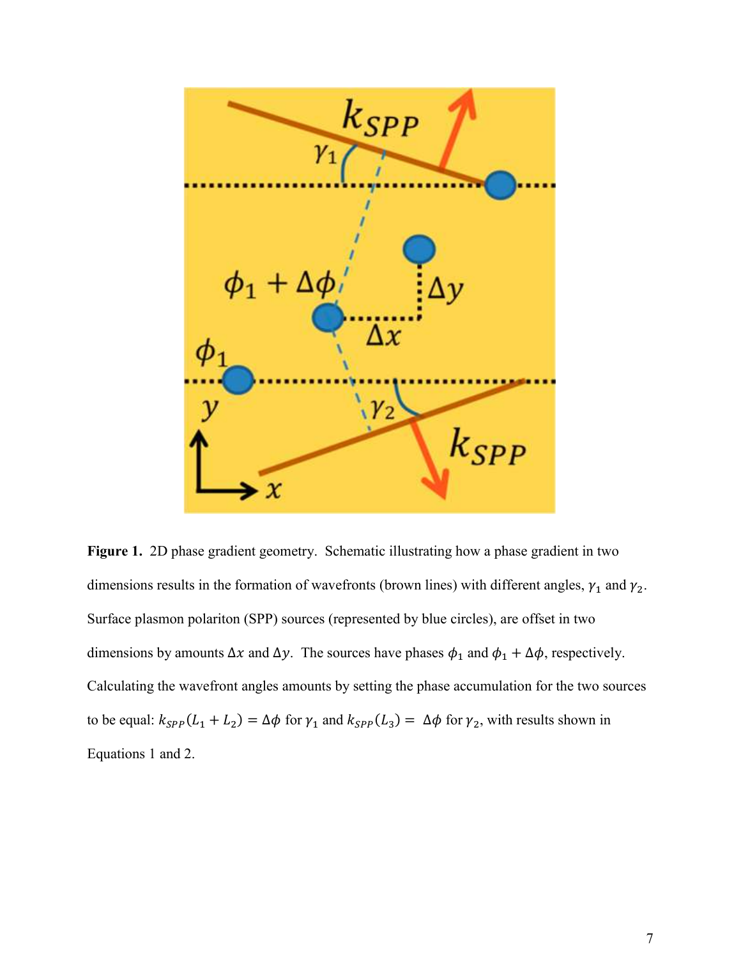

**Figure 1.** 2D phase gradient geometry. Schematic illustrating how a phase gradient in two dimensions results in the formation of wavefronts (brown lines) with different angles,  $\gamma_1$  and  $\gamma_2$ . Surface plasmon polariton (SPP) sources (represented by blue circles), are offset in two dimensions by amounts  $\Delta x$  and  $\Delta y$ . The sources have phases  $\phi_1$  and  $\phi_1 + \Delta \phi$ , respectively. Calculating the wavefront angles amounts by setting the phase accumulation for the two sources to be equal:  $k_{SPP}(L_1 + L_2) = \Delta \phi$  for  $\gamma_1$  and  $k_{SPP}(L_3) = \Delta \phi$  for  $\gamma_2$ , with results shown in Equations 1 and 2.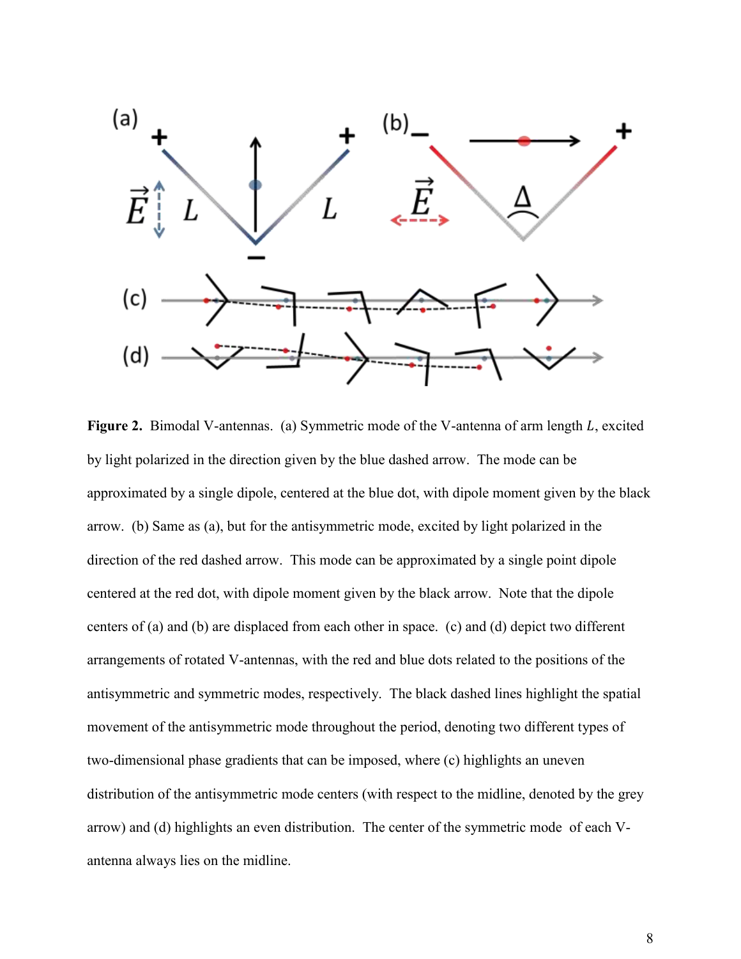

**Figure 2.** Bimodal V-antennas. (a) Symmetric mode of the V-antenna of arm length L, excited by light polarized in the direction given by the blue dashed arrow. The mode can be approximated by a single dipole, centered at the blue dot, with dipole moment given by the black arrow. (b) Same as (a), but for the antisymmetric mode, excited by light polarized in the direction of the red dashed arrow. This mode can be approximated by a single point dipole centered at the red dot, with dipole moment given by the black arrow. Note that the dipole centers of (a) and (b) are displaced from each other in space. (c) and (d) depict two different arrangements of rotated V-antennas, with the red and blue dots related to the positions of the antisymmetric and symmetric modes, respectively. The black dashed lines highlight the spatial movement of the antisymmetric mode throughout the period, denoting two different types of two-dimensional phase gradients that can be imposed, where (c) highlights an uneven distribution of the antisymmetric mode centers (with respect to the midline, denoted by the grey arrow) and (d) highlights an even distribution. The center of the symmetric mode of each Vantenna always lies on the midline.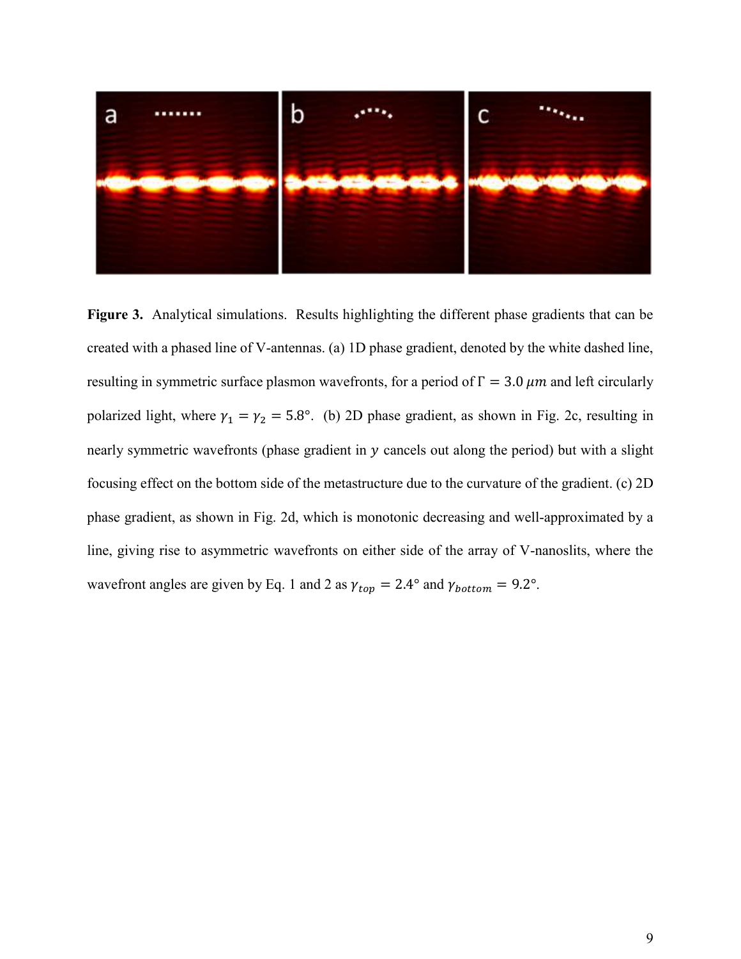

**Figure 3.** Analytical simulations. Results highlighting the different phase gradients that can be created with a phased line of V-antennas. (a) 1D phase gradient, denoted by the white dashed line, resulting in symmetric surface plasmon wavefronts, for a period of  $\Gamma = 3.0 \ \mu m$  and left circularly polarized light, where  $\gamma_1 = \gamma_2 = 5.8^\circ$ . (b) 2D phase gradient, as shown in Fig. 2c, resulting in nearly symmetric wavefronts (phase gradient in  $y$  cancels out along the period) but with a slight focusing effect on the bottom side of the metastructure due to the curvature of the gradient. (c) 2D phase gradient, as shown in Fig. 2d, which is monotonic decreasing and well-approximated by a line, giving rise to asymmetric wavefronts on either side of the array of V-nanoslits, where the wavefront angles are given by Eq. 1 and 2 as  $\gamma_{top} = 2.4^{\circ}$  and  $\gamma_{bottom} = 9.2^{\circ}$ .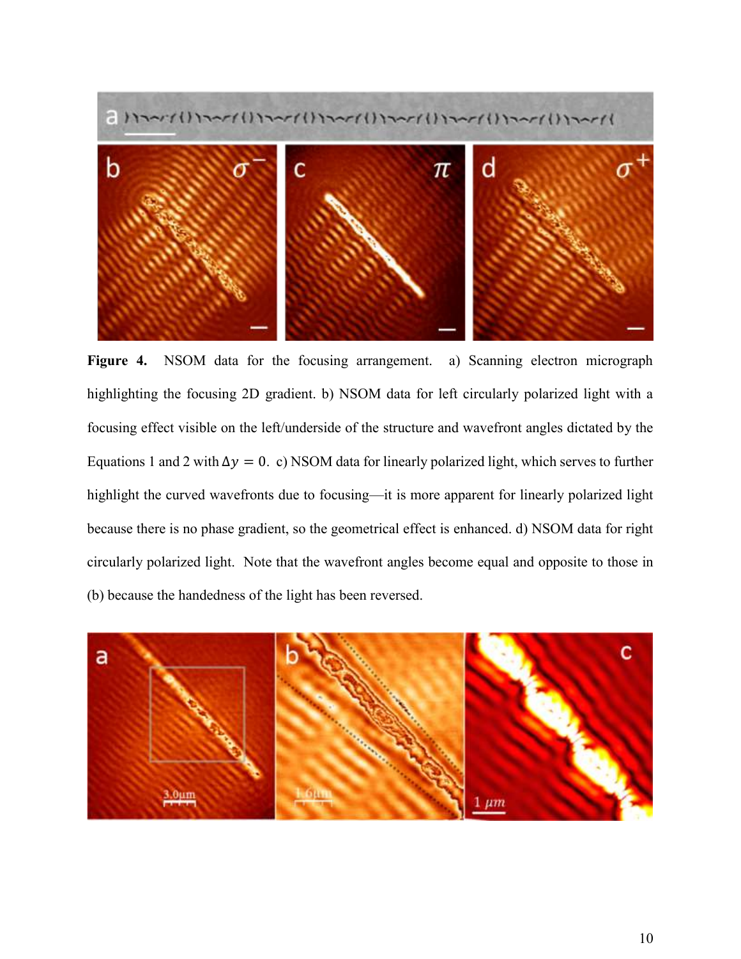

Figure 4. NSOM data for the focusing arrangement. a) Scanning electron micrograph highlighting the focusing 2D gradient. b) NSOM data for left circularly polarized light with a focusing effect visible on the left/underside of the structure and wavefront angles dictated by the Equations 1 and 2 with  $\Delta y = 0$ . c) NSOM data for linearly polarized light, which serves to further highlight the curved wavefronts due to focusing—it is more apparent for linearly polarized light because there is no phase gradient, so the geometrical effect is enhanced. d) NSOM data for right circularly polarized light. Note that the wavefront angles become equal and opposite to those in (b) because the handedness of the light has been reversed.